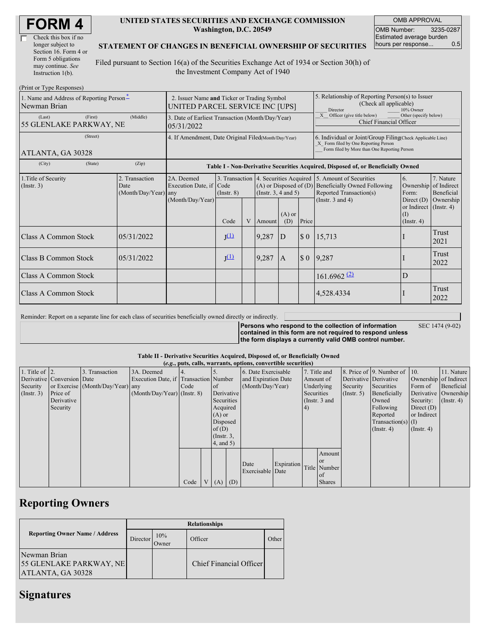| Check this box if no  |  |
|-----------------------|--|
| longer subject to     |  |
| Section 16. Form 4 or |  |
| Form 5 obligations    |  |
| may continue. See     |  |
| Instruction 1(b).     |  |

 $(D_{\text{rint}} \text{ or } T_{\text{V}} \text{ as } D_{\text{c}}$ 

#### **UNITED STATES SECURITIES AND EXCHANGE COMMISSION Washington, D.C. 20549**

OMB APPROVAL OMB Number: 3235-0287 Estimated average burden<br>hours per response... 0.5 hours per response...

#### **STATEMENT OF CHANGES IN BENEFICIAL OWNERSHIP OF SECURITIES**

Filed pursuant to Section 16(a) of the Securities Exchange Act of 1934 or Section 30(h) of the Investment Company Act of 1940

| 1. Name and Address of Reporting Person-<br>Newman Brian | 2. Issuer Name and Ticker or Trading Symbol<br>UNITED PARCEL SERVICE INC [UPS] |                                                      |                                                                                  |   |                                                        | 5. Relationship of Reporting Person(s) to Issuer<br>(Check all applicable)<br>Director<br>10% Owner |                                                                                                                                                    |                                                                                                                                                          |                                                      |                                                     |  |
|----------------------------------------------------------|--------------------------------------------------------------------------------|------------------------------------------------------|----------------------------------------------------------------------------------|---|--------------------------------------------------------|-----------------------------------------------------------------------------------------------------|----------------------------------------------------------------------------------------------------------------------------------------------------|----------------------------------------------------------------------------------------------------------------------------------------------------------|------------------------------------------------------|-----------------------------------------------------|--|
| (First)<br>(Last)<br>55 GLENLAKE PARKWAY, NE             | 3. Date of Earliest Transaction (Month/Day/Year)<br>05/31/2022                 |                                                      |                                                                                  |   |                                                        | Other (specify below)<br>X Officer (give title below)<br>Chief Financial Officer                    |                                                                                                                                                    |                                                                                                                                                          |                                                      |                                                     |  |
| (Street)<br>ATLANTA, GA 30328                            | 4. If Amendment, Date Original Filed(Month/Day/Year)                           |                                                      |                                                                                  |   |                                                        |                                                                                                     | 6. Individual or Joint/Group Filing(Check Applicable Line)<br>X Form filed by One Reporting Person<br>Form filed by More than One Reporting Person |                                                                                                                                                          |                                                      |                                                     |  |
| (State)<br>(City)                                        | (Zip)                                                                          |                                                      | Table I - Non-Derivative Securities Acquired, Disposed of, or Beneficially Owned |   |                                                        |                                                                                                     |                                                                                                                                                    |                                                                                                                                                          |                                                      |                                                     |  |
| 1. Title of Security<br>$($ Instr. 3 $)$                 | 2. Transaction<br>Date<br>(Month/Day/Year) any                                 | 2A. Deemed<br>Execution Date, if<br>(Month/Day/Year) | Code<br>$($ Instr. $8)$                                                          |   | $(A)$ or Disposed of $(D)$<br>(Instr. $3, 4$ and $5$ ) |                                                                                                     |                                                                                                                                                    | 3. Transaction 4. Securities Acquired 5. Amount of Securities<br><b>Beneficially Owned Following</b><br>Reported Transaction(s)<br>(Instr. $3$ and $4$ ) | 6.<br>Ownership<br>Form:<br>Direct $(D)$             | 7. Nature<br>of Indirect<br>Beneficial<br>Ownership |  |
|                                                          |                                                                                |                                                      | Code                                                                             | V | Amount                                                 | $(A)$ or<br>(D)                                                                                     | Price                                                                                                                                              |                                                                                                                                                          | or Indirect $($ Instr. 4)<br>(I)<br>$($ Instr. 4 $)$ |                                                     |  |
| Class A Common Stock                                     | 05/31/2022                                                                     |                                                      | $J^{(1)}$                                                                        |   | 9,287                                                  | D                                                                                                   | $\sqrt{5}0$                                                                                                                                        | 15,713                                                                                                                                                   |                                                      | Trust<br>2021                                       |  |
| Class B Common Stock                                     | 05/31/2022                                                                     |                                                      | $J^{(1)}$                                                                        |   | 9,287                                                  | $\mathbf{A}$                                                                                        | $\boldsymbol{\mathsf{S}}$ 0                                                                                                                        | 9,287                                                                                                                                                    |                                                      | Trust<br>2022                                       |  |
| <b>Class A Common Stock</b>                              |                                                                                |                                                      |                                                                                  |   |                                                        |                                                                                                     |                                                                                                                                                    | $161.6962$ <sup>(2)</sup>                                                                                                                                | D                                                    |                                                     |  |
| Class A Common Stock                                     |                                                                                |                                                      |                                                                                  |   |                                                        |                                                                                                     |                                                                                                                                                    | 4,528.4334                                                                                                                                               |                                                      | Trust<br>2022                                       |  |

| Reminder: Report on a separate line for each class of securities beneficially owned directly or indirectly. |                                                                                                                                                                              |                 |
|-------------------------------------------------------------------------------------------------------------|------------------------------------------------------------------------------------------------------------------------------------------------------------------------------|-----------------|
|                                                                                                             | Persons who respond to the collection of information<br>contained in this form are not required to respond unless<br>the form displays a currently valid OMB control number. | SEC 1474 (9-02) |

#### **Table II - Derivative Securities Acquired, Disposed of, or Beneficially Owned**  $(e.g., \text{puts, calls, warrants, options, c)$

|                        | $(0.5, 0.005, 0.005, 0.0005, 0.00005, 0.0000, 0.0000, 0.0000, 0.0000, 0.0000, 0.0000, 0.0000, 0.0000, 0.0000, 0.0000, 0.0000, 0.0000, 0.0000, 0.0000, 0.0000, 0.0000, 0.0000, 0.0000, 0.0000, 0.0000, 0.0000, 0.0000, 0.0000,$ |                                  |                                       |      |  |                 |          |                          |            |               |               |                       |                              |                       |                  |
|------------------------|--------------------------------------------------------------------------------------------------------------------------------------------------------------------------------------------------------------------------------|----------------------------------|---------------------------------------|------|--|-----------------|----------|--------------------------|------------|---------------|---------------|-----------------------|------------------------------|-----------------------|------------------|
| 1. Title of $\vert$ 2. |                                                                                                                                                                                                                                | 3. Transaction                   | 3A. Deemed                            |      |  |                 |          | 6. Date Exercisable      |            |               | 7. Title and  |                       | 8. Price of 9. Number of 10. |                       | 11. Nature       |
|                        | Derivative Conversion Date                                                                                                                                                                                                     |                                  | Execution Date, if Transaction Number |      |  |                 |          | and Expiration Date      |            |               | Amount of     | Derivative Derivative |                              | Ownership of Indirect |                  |
| Security               |                                                                                                                                                                                                                                | or Exercise (Month/Day/Year) any |                                       | Code |  | <sub>of</sub>   |          | (Month/Day/Year)         |            |               | Underlying    | Security              | Securities                   | Form of               | Beneficial       |
| $($ Instr. 3 $)$       | Price of                                                                                                                                                                                                                       |                                  | $(Month/Day/Year)$ (Instr. 8)         |      |  | Derivative      |          |                          |            | Securities    |               | $($ Instr. 5)         | Beneficially                 | Derivative Ownership  |                  |
|                        | Derivative                                                                                                                                                                                                                     |                                  |                                       |      |  | Securities      |          |                          |            | (Instr. 3 and |               |                       | Owned                        | Security:             | $($ Instr. 4 $)$ |
|                        | Security                                                                                                                                                                                                                       |                                  |                                       |      |  |                 | Acquired |                          | 4)         |               |               | Following             | Direct $(D)$                 |                       |                  |
|                        |                                                                                                                                                                                                                                |                                  |                                       |      |  | $(A)$ or        |          |                          |            |               |               |                       | Reported                     | or Indirect           |                  |
|                        |                                                                                                                                                                                                                                |                                  |                                       |      |  | Disposed        |          |                          |            |               |               |                       | $Transaction(s)$ (I)         |                       |                  |
|                        |                                                                                                                                                                                                                                |                                  |                                       |      |  | of $(D)$        |          |                          |            |               |               |                       | $($ Instr. 4 $)$             | $($ Instr. 4 $)$      |                  |
|                        |                                                                                                                                                                                                                                |                                  |                                       |      |  | $($ Instr. $3,$ |          |                          |            |               |               |                       |                              |                       |                  |
|                        |                                                                                                                                                                                                                                |                                  |                                       |      |  | $4$ , and $5$ ) |          |                          |            |               |               |                       |                              |                       |                  |
|                        |                                                                                                                                                                                                                                |                                  |                                       |      |  |                 |          |                          |            |               | Amount        |                       |                              |                       |                  |
|                        |                                                                                                                                                                                                                                |                                  |                                       |      |  |                 |          |                          |            |               | <sub>or</sub> |                       |                              |                       |                  |
|                        |                                                                                                                                                                                                                                |                                  |                                       |      |  |                 |          | Date<br>Exercisable Date | Expiration |               | Title Number  |                       |                              |                       |                  |
|                        |                                                                                                                                                                                                                                |                                  |                                       |      |  |                 |          |                          |            |               | l of          |                       |                              |                       |                  |
|                        |                                                                                                                                                                                                                                |                                  |                                       | Code |  | V(A)            | (D)      |                          |            |               | <b>Shares</b> |                       |                              |                       |                  |

# **Reporting Owners**

|                                                              | <b>Relationships</b> |              |                         |       |  |  |  |  |  |
|--------------------------------------------------------------|----------------------|--------------|-------------------------|-------|--|--|--|--|--|
| <b>Reporting Owner Name / Address</b>                        | Director             | 10%<br>Jwner | Officer                 | Other |  |  |  |  |  |
| Newman Brian<br>55 GLENLAKE PARKWAY, NE<br>ATLANTA, GA 30328 |                      |              | Chief Financial Officer |       |  |  |  |  |  |

# **Signatures**